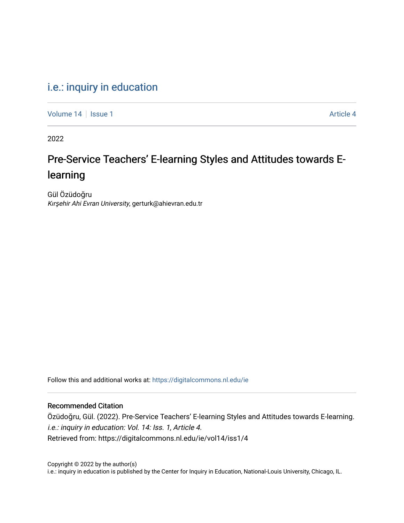# [i.e.: inquiry in education](https://digitalcommons.nl.edu/ie)

[Volume 14](https://digitalcommons.nl.edu/ie/vol14) | [Issue 1](https://digitalcommons.nl.edu/ie/vol14/iss1) Article 4

2022

# Pre-Service Teachers' E-learning Styles and Attitudes towards Elearning

Gül Özüdoğru Kırşehir Ahi Evran University, gerturk@ahievran.edu.tr

Follow this and additional works at: [https://digitalcommons.nl.edu/ie](https://digitalcommons.nl.edu/ie?utm_source=digitalcommons.nl.edu%2Fie%2Fvol14%2Fiss1%2F4&utm_medium=PDF&utm_campaign=PDFCoverPages) 

#### Recommended Citation

Özüdoğru, Gül. (2022). Pre-Service Teachers' E-learning Styles and Attitudes towards E-learning. i.e.: inquiry in education: Vol. 14: Iss. 1, Article 4. Retrieved from: https://digitalcommons.nl.edu/ie/vol14/iss1/4

Copyright © 2022 by the author(s) i.e.: inquiry in education is published by the Center for Inquiry in Education, National-Louis University, Chicago, IL.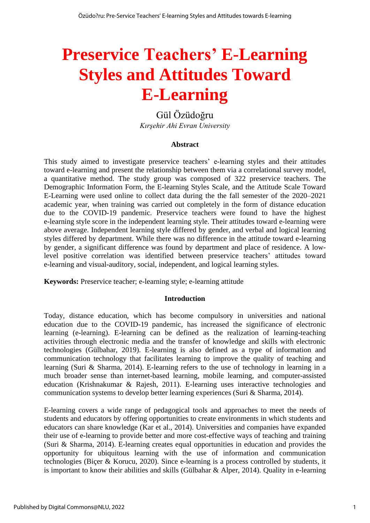# **Preservice Teachers' E-Learning Styles and Attitudes Toward E-Learning**

# Gül Özüdoğru *Kırşehir Ahi Evran University*

#### **Abstract**

This study aimed to investigate preservice teachers' e-learning styles and their attitudes toward e-learning and present the relationship between them via a correlational survey model, a quantitative method. The study group was composed of 322 preservice teachers. The Demographic Information Form, the E-learning Styles Scale, and the Attitude Scale Toward E-Learning were used online to collect data during the the fall semester of the 2020–2021 academic year, when training was carried out completely in the form of distance education due to the COVID-19 pandemic. Preservice teachers were found to have the highest e-learning style score in the independent learning style. Their attitudes toward e-learning were above average. Independent learning style differed by gender, and verbal and logical learning styles differed by department. While there was no difference in the attitude toward e-learning by gender, a significant difference was found by department and place of residence. A lowlevel positive correlation was identified between preservice teachers' attitudes toward e-learning and visual-auditory, social, independent, and logical learning styles.

**Keywords:** Preservice teacher; e-learning style; e-learning attitude

#### **Introduction**

Today, distance education, which has become compulsory in universities and national education due to the COVID-19 pandemic, has increased the significance of electronic learning (e-learning). E-learning can be defined as the realization of learning-teaching activities through electronic media and the transfer of knowledge and skills with electronic technologies (Gülbahar, 2019). E-learning is also defined as a type of information and communication technology that facilitates learning to improve the quality of teaching and learning (Suri & Sharma, 2014). E-learning refers to the use of technology in learning in a much broader sense than internet-based learning, mobile learning, and computer-assisted education (Krishnakumar & Rajesh, 2011). E-learning uses interactive technologies and communication systems to develop better learning experiences (Suri & Sharma, 2014).

E-learning covers a wide range of pedagogical tools and approaches to meet the needs of students and educators by offering opportunities to create environments in which students and educators can share knowledge (Kar et al., 2014). Universities and companies have expanded their use of e-learning to provide better and more cost-effective ways of teaching and training (Suri & Sharma, 2014). E-learning creates equal opportunities in education and provides the opportunity for ubiquitous learning with the use of information and communication technologies (Biçer & Korucu, 2020). Since e-learning is a process controlled by students, it is important to know their abilities and skills (Gülbahar & Alper, 2014). Quality in e-learning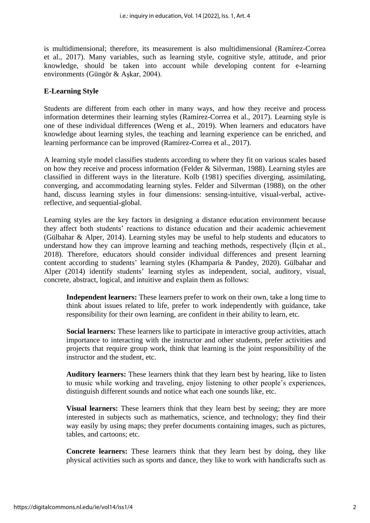is multidimensional; therefore, its measurement is also multidimensional (Ramírez-Correa et al., 2017). Many variables, such as learning style, cognitive style, attitude, and prior knowledge, should be taken into account while developing content for e-learning environments (Güngör & Aşkar, 2004).

## **E-Learning Style**

Students are different from each other in many ways, and how they receive and process information determines their learning styles (Ramírez-Correa et al., 2017). Learning style is one of these individual differences (Weng et al., 2019). When learners and educators have knowledge about learning styles, the teaching and learning experience can be enriched, and learning performance can be improved (Ramírez-Correa et al., 2017).

A learning style model classifies students according to where they fit on various scales based on how they receive and process information (Felder & Silverman, 1988). Learning styles are classified in different ways in the literature. Kolb (1981) specifies diverging, assimilating, converging, and accommodating learning styles. Felder and Silverman (1988), on the other hand, discuss learning styles in four dimensions: sensing-intuitive, visual-verbal, activereflective, and sequential-global.

Learning styles are the key factors in designing a distance education environment because they affect both students' reactions to distance education and their academic achievement (Gülbahar & Alper, 2014). Learning styles may be useful to help students and educators to understand how they can improve learning and teaching methods, respectively (İlçin et al., 2018). Therefore, educators should consider individual differences and present learning content according to students' learning styles (Khamparia & Pandey, 2020). Gülbahar and Alper (2014) identify students' learning styles as independent, social, auditory, visual, concrete, abstract, logical, and intuitive and explain them as follows:

**Independent learners:** These learners prefer to work on their own, take a long time to think about issues related to life, prefer to work independently with guidance, take responsibility for their own learning, are confident in their ability to learn, etc.

**Social learners:** These learners like to participate in interactive group activities, attach importance to interacting with the instructor and other students, prefer activities and projects that require group work, think that learning is the joint responsibility of the instructor and the student, etc.

**Auditory learners:** These learners think that they learn best by hearing, like to listen to music while working and traveling, enjoy listening to other people's experiences, distinguish different sounds and notice what each one sounds like, etc.

**Visual learners:** These learners think that they learn best by seeing; they are more interested in subjects such as mathematics, science, and technology; they find their way easily by using maps; they prefer documents containing images, such as pictures, tables, and cartoons; etc.

**Concrete learners:** These learners think that they learn best by doing, they like physical activities such as sports and dance, they like to work with handicrafts such as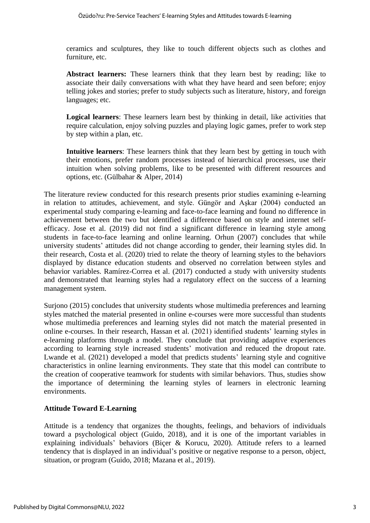ceramics and sculptures, they like to touch different objects such as clothes and furniture, etc.

**Abstract learners:** These learners think that they learn best by reading; like to associate their daily conversations with what they have heard and seen before; enjoy telling jokes and stories; prefer to study subjects such as literature, history, and foreign languages; etc.

**Logical learners**: These learners learn best by thinking in detail, like activities that require calculation, enjoy solving puzzles and playing logic games, prefer to work step by step within a plan, etc.

**Intuitive learners**: These learners think that they learn best by getting in touch with their emotions, prefer random processes instead of hierarchical processes, use their intuition when solving problems, like to be presented with different resources and options, etc. (Gülbahar & Alper, 2014)

The literature review conducted for this research presents prior studies examining e-learning in relation to attitudes, achievement, and style. Güngör and Aşkar (2004) conducted an experimental study comparing e-learning and face-to-face learning and found no difference in achievement between the two but identified a difference based on style and internet selfefficacy. Jose et al. (2019) did not find a significant difference in learning style among students in face-to-face learning and online learning. Orhun (2007) concludes that while university students' attitudes did not change according to gender, their learning styles did. In their research, Costa et al. (2020) tried to relate the theory of learning styles to the behaviors displayed by distance education students and observed no correlation between styles and behavior variables. Ramírez-Correa et al. (2017) conducted a study with university students and demonstrated that learning styles had a regulatory effect on the success of a learning management system.

Surjono (2015) concludes that university students whose multimedia preferences and learning styles matched the material presented in online e-courses were more successful than students whose multimedia preferences and learning styles did not match the material presented in online e-courses. In their research, Hassan et al. (2021) identified students' learning styles in e-learning platforms through a model. They conclude that providing adaptive experiences according to learning style increased students' motivation and reduced the dropout rate. Lwande et al. (2021) developed a model that predicts students' learning style and cognitive characteristics in online learning environments. They state that this model can contribute to the creation of cooperative teamwork for students with similar behaviors. Thus, studies show the importance of determining the learning styles of learners in electronic learning environments.

# **Attitude Toward E-Learning**

Attitude is a tendency that organizes the thoughts, feelings, and behaviors of individuals toward a psychological object (Guido, 2018), and it is one of the important variables in explaining individuals' behaviors (Biçer & Korucu, 2020). Attitude refers to a learned tendency that is displayed in an individual's positive or negative response to a person, object, situation, or program (Guido, 2018; Mazana et al., 2019).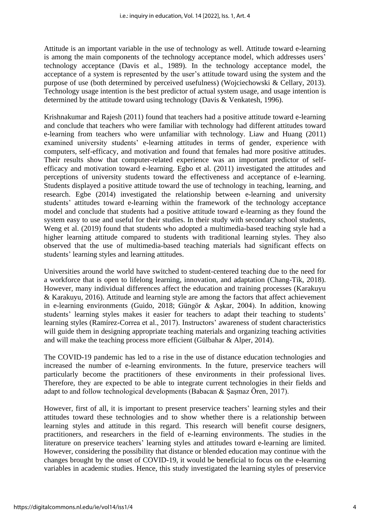Attitude is an important variable in the use of technology as well. Attitude toward e-learning is among the main components of the technology acceptance model, which addresses users' technology acceptance (Davis et al., 1989). In the technology acceptance model, the acceptance of a system is represented by the user's attitude toward using the system and the purpose of use (both determined by perceived usefulness) (Wojciechowski & Cellary, 2013). Technology usage intention is the best predictor of actual system usage, and usage intention is determined by the attitude toward using technology (Davis & Venkatesh, 1996).

Krishnakumar and Rajesh (2011) found that teachers had a positive attitude toward e-learning and conclude that teachers who were familiar with technology had different attitudes toward e-learning from teachers who were unfamiliar with technology. Liaw and Huang (2011) examined university students' e-learning attitudes in terms of gender, experience with computers, self-efficacy, and motivation and found that females had more positive attitudes. Their results show that computer-related experience was an important predictor of selfefficacy and motivation toward e-learning. Egbo et al. (2011) investigated the attitudes and perceptions of university students toward the effectiveness and acceptance of e-learning. Students displayed a positive attitude toward the use of technology in teaching, learning, and research. Egbe (2014) investigated the relationship between e-learning and university students' attitudes toward e-learning within the framework of the technology acceptance model and conclude that students had a positive attitude toward e-learning as they found the system easy to use and useful for their studies. In their study with secondary school students, Weng et al. (2019) found that students who adopted a multimedia-based teaching style had a higher learning attitude compared to students with traditional learning styles. They also observed that the use of multimedia-based teaching materials had significant effects on students' learning styles and learning attitudes.

Universities around the world have switched to student-centered teaching due to the need for a workforce that is open to lifelong learning, innovation, and adaptation (Chang-Tik, 2018). However, many individual differences affect the education and training processes (Karakuyu & Karakuyu, 2016). Attitude and learning style are among the factors that affect achievement in e-learning environments (Guido, 2018; Güngör & Aşkar, 2004). In addition, knowing students' learning styles makes it easier for teachers to adapt their teaching to students' learning styles (Ramírez-Correa et al., 2017). Instructors' awareness of student characteristics will guide them in designing appropriate teaching materials and organizing teaching activities and will make the teaching process more efficient (Gülbahar & Alper, 2014).

The COVID-19 pandemic has led to a rise in the use of distance education technologies and increased the number of e-learning environments. In the future, preservice teachers will particularly become the practitioners of these environments in their professional lives. Therefore, they are expected to be able to integrate current technologies in their fields and adapt to and follow technological developments (Babacan & Şaşmaz Ören, 2017).

However, first of all, it is important to present preservice teachers' learning styles and their attitudes toward these technologies and to show whether there is a relationship between learning styles and attitude in this regard. This research will benefit course designers, practitioners, and researchers in the field of e-learning environments. The studies in the literature on preservice teachers' learning styles and attitudes toward e-learning are limited. However, considering the possibility that distance or blended education may continue with the changes brought by the onset of COVID-19, it would be beneficial to focus on the e-learning variables in academic studies. Hence, this study investigated the learning styles of preservice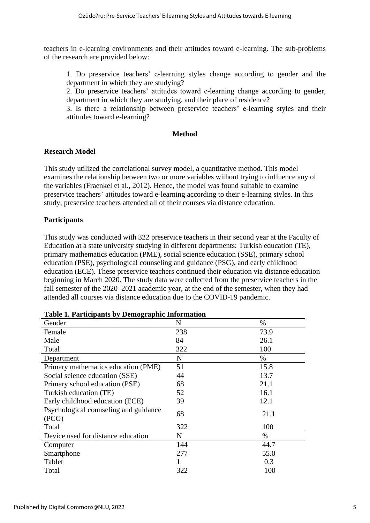teachers in e-learning environments and their attitudes toward e-learning. The sub-problems of the research are provided below:

1. Do preservice teachers' e-learning styles change according to gender and the department in which they are studying?

2. Do preservice teachers' attitudes toward e-learning change according to gender, department in which they are studying, and their place of residence?

3. Is there a relationship between preservice teachers' e-learning styles and their attitudes toward e-learning?

## **Method**

# **Research Model**

This study utilized the correlational survey model, a quantitative method. This model examines the relationship between two or more variables without trying to influence any of the variables (Fraenkel et al., 2012). Hence, the model was found suitable to examine preservice teachers' attitudes toward e-learning according to their e-learning styles. In this study, preservice teachers attended all of their courses via distance education.

# **Participants**

This study was conducted with 322 preservice teachers in their second year at the Faculty of Education at a state university studying in different departments: Turkish education (TE), primary mathematics education (PME), social science education (SSE), primary school education (PSE), psychological counseling and guidance (PSG), and early childhood education (ECE). These preservice teachers continued their education via distance education beginning in March 2020. The study data were collected from the preservice teachers in the fall semester of the 2020–2021 academic year, at the end of the semester, when they had attended all courses via distance education due to the COVID-19 pandemic.

| Gender                                         | N   | $\%$ |
|------------------------------------------------|-----|------|
| Female                                         | 238 | 73.9 |
| Male                                           | 84  | 26.1 |
| Total                                          | 322 | 100  |
| Department                                     | N   | $\%$ |
| Primary mathematics education (PME)            | 51  | 15.8 |
| Social science education (SSE)                 | 44  | 13.7 |
| Primary school education (PSE)                 | 68  | 21.1 |
| Turkish education (TE)                         | 52  | 16.1 |
| Early childhood education (ECE)                | 39  | 12.1 |
| Psychological counseling and guidance<br>(PCG) | 68  | 21.1 |
| Total                                          | 322 | 100  |
| Device used for distance education             | N   | %    |
| Computer                                       | 144 | 44.7 |
| Smartphone                                     | 277 | 55.0 |
| Tablet                                         |     | 0.3  |
| Total                                          | 322 | 100  |

|  |  | <b>Table 1. Participants by Demographic Information</b> |  |  |
|--|--|---------------------------------------------------------|--|--|
|  |  |                                                         |  |  |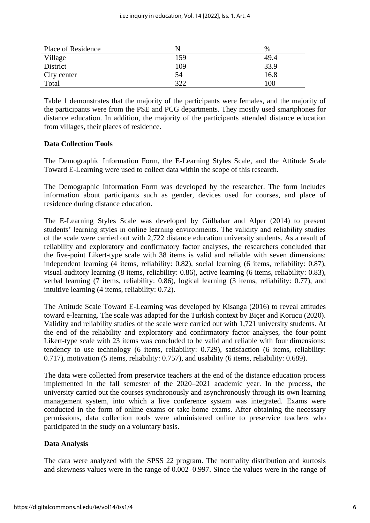| Place of Residence | N   | $\%$ |
|--------------------|-----|------|
| Village            | 159 | 49.4 |
| District           | 109 | 33.9 |
| City center        | 54  | 16.8 |
| Total              | 322 | 100  |

Table 1 demonstrates that the majority of the participants were females, and the majority of the participants were from the PSE and PCG departments. They mostly used smartphones for distance education. In addition, the majority of the participants attended distance education from villages, their places of residence.

## **Data Collection Tools**

The Demographic Information Form, the E-Learning Styles Scale, and the Attitude Scale Toward E-Learning were used to collect data within the scope of this research.

The Demographic Information Form was developed by the researcher. The form includes information about participants such as gender, devices used for courses, and place of residence during distance education.

The E-Learning Styles Scale was developed by Gülbahar and Alper (2014) to present students' learning styles in online learning environments. The validity and reliability studies of the scale were carried out with 2,722 distance education university students. As a result of reliability and exploratory and confirmatory factor analyses, the researchers concluded that the five-point Likert-type scale with 38 items is valid and reliable with seven dimensions: independent learning (4 items, reliability: 0.82), social learning (6 items, reliability: 0.87), visual-auditory learning (8 items, reliability: 0.86), active learning (6 items, reliability: 0.83), verbal learning (7 items, reliability: 0.86), logical learning (3 items, reliability: 0.77), and intuitive learning (4 items, reliability: 0.72).

The Attitude Scale Toward E-Learning was developed by Kisanga (2016) to reveal attitudes toward e-learning. The scale was adapted for the Turkish context by Biçer and Korucu (2020). Validity and reliability studies of the scale were carried out with 1,721 university students. At the end of the reliability and exploratory and confirmatory factor analyses, the four-point Likert-type scale with 23 items was concluded to be valid and reliable with four dimensions: tendency to use technology (6 items, reliability: 0.729), satisfaction (6 items, reliability: 0.717), motivation (5 items, reliability: 0.757), and usability (6 items, reliability: 0.689).

The data were collected from preservice teachers at the end of the distance education process implemented in the fall semester of the 2020–2021 academic year. In the process, the university carried out the courses synchronously and asynchronously through its own learning management system, into which a live conference system was integrated. Exams were conducted in the form of online exams or take-home exams. After obtaining the necessary permissions, data collection tools were administered online to preservice teachers who participated in the study on a voluntary basis.

#### **Data Analysis**

The data were analyzed with the SPSS 22 program. The normality distribution and kurtosis and skewness values were in the range of 0.002–0.997. Since the values were in the range of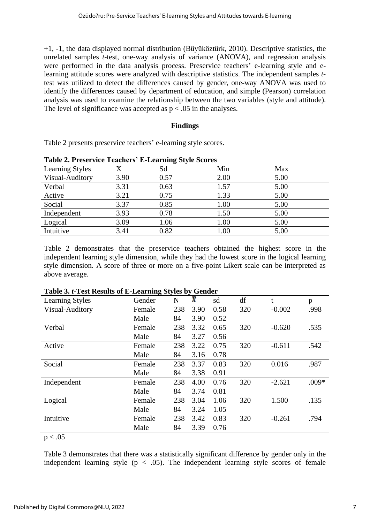+1, -1, the data displayed normal distribution (Büyüköztürk, 2010). Descriptive statistics, the unrelated samples *t*-test, one-way analysis of variance (ANOVA), and regression analysis were performed in the data analysis process. Preservice teachers' e-learning style and elearning attitude scores were analyzed with descriptive statistics. The independent samples *t*test was utilized to detect the differences caused by gender, one-way ANOVA was used to identify the differences caused by department of education, and simple (Pearson) correlation analysis was used to examine the relationship between the two variables (style and attitude). The level of significance was accepted as  $p < .05$  in the analyses.

## **Findings**

Table 2 presents preservice teachers' e-learning style scores.

| Table 2. I reset vice Teachers - E-Learning Bryne Beores |      |      |      |      |  |
|----------------------------------------------------------|------|------|------|------|--|
| <b>Learning Styles</b>                                   |      | Sd   | Min  | Max  |  |
| Visual-Auditory                                          | 3.90 | 0.57 | 2.00 | 5.00 |  |
| Verbal                                                   | 3.31 | 0.63 | 1.57 | 5.00 |  |
| Active                                                   | 3.21 | 0.75 | 1.33 | 5.00 |  |
| Social                                                   | 3.37 | 0.85 | 1.00 | 5.00 |  |
| Independent                                              | 3.93 | 0.78 | 1.50 | 5.00 |  |
| Logical                                                  | 3.09 | 1.06 | 1.00 | 5.00 |  |
| Intuitive                                                | 3.41 | 0.82 | 1.00 | 5.00 |  |

**Table 2. Preservice Teachers' E-Learning Style Scores**

Table 2 demonstrates that the preservice teachers obtained the highest score in the independent learning style dimension, while they had the lowest score in the logical learning style dimension. A score of three or more on a five-point Likert scale can be interpreted as above average.

| <b>Learning Styles</b> | Gender | N   | $\bar{\textbf{x}}$ | sd   | df  | t        | p       |
|------------------------|--------|-----|--------------------|------|-----|----------|---------|
| Visual-Auditory        | Female | 238 | 3.90               | 0.58 | 320 | $-0.002$ | .998    |
|                        | Male   | 84  | 3.90               | 0.52 |     |          |         |
| Verbal                 | Female | 238 | 3.32               | 0.65 | 320 | $-0.620$ | .535    |
|                        | Male   | 84  | 3.27               | 0.56 |     |          |         |
| Active                 | Female | 238 | 3.22               | 0.75 | 320 | $-0.611$ | .542    |
|                        | Male   | 84  | 3.16               | 0.78 |     |          |         |
| Social                 | Female | 238 | 3.37               | 0.83 | 320 | 0.016    | .987    |
|                        | Male   | 84  | 3.38               | 0.91 |     |          |         |
| Independent            | Female | 238 | 4.00               | 0.76 | 320 | $-2.621$ | $.009*$ |
|                        | Male   | 84  | 3.74               | 0.81 |     |          |         |
| Logical                | Female | 238 | 3.04               | 1.06 | 320 | 1.500    | .135    |
|                        | Male   | 84  | 3.24               | 1.05 |     |          |         |
| Intuitive              | Female | 238 | 3.42               | 0.83 | 320 | $-0.261$ | .794    |
|                        | Male   | 84  | 3.39               | 0.76 |     |          |         |

**Table 3.** *t***-Test Results of E-Learning Styles by Gender**

 $p < .05$ 

Table 3 demonstrates that there was a statistically significant difference by gender only in the independent learning style  $(p < .05)$ . The independent learning style scores of female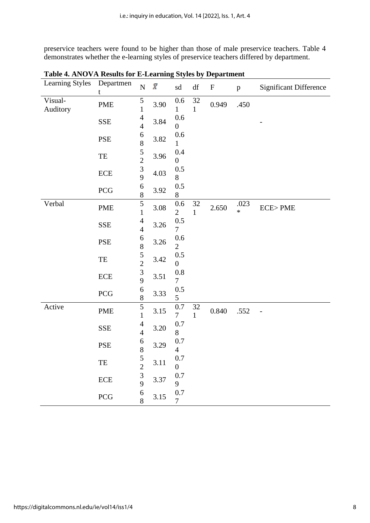preservice teachers were found to be higher than those of male preservice teachers. Table 4 demonstrates whether the e-learning styles of preservice teachers differed by department.

| <b>Learning Styles</b> | Departmen<br>t             | $\overline{\rm N}$                              | $\bar{X}$ | sd                        | $\mathrm{d}\mathbf{f}$ | $\boldsymbol{\mathrm{F}}$ | $\mathbf{p}$   | <b>Significant Difference</b> |
|------------------------|----------------------------|-------------------------------------------------|-----------|---------------------------|------------------------|---------------------------|----------------|-------------------------------|
| Visual-<br>Auditory    | <b>PME</b>                 | 5<br>$\mathbf{1}$                               | 3.90      | 0.6<br>$\mathbf{1}$       | $32\,$<br>$\mathbf{1}$ | 0.949                     | .450           |                               |
|                        | <b>SSE</b>                 | $\overline{4}$<br>$\overline{4}$                | 3.84      | 0.6<br>$\overline{0}$     |                        |                           |                |                               |
|                        | <b>PSE</b>                 | 6<br>8                                          | 3.82      | 0.6<br>$\mathbf{1}$       |                        |                           |                |                               |
|                        | $\ensuremath{\mathsf{TE}}$ | $\frac{5}{2}$                                   | 3.96      | 0.4<br>$\overline{0}$     |                        |                           |                |                               |
|                        | ECE                        | $\begin{array}{c} 3 \\ 9 \end{array}$           | 4.03      | 0.5<br>8                  |                        |                           |                |                               |
|                        | PCG                        | 6<br>$\overline{8}$                             | 3.92      | 0.5<br>$8\,$              |                        |                           |                |                               |
| Verbal                 | <b>PME</b>                 | $\overline{5}$<br>$\mathbf{1}$                  | 3.08      | $0.6\,$<br>$\overline{2}$ | 32<br>$\mathbf{1}$     | 2.650                     | .023<br>$\ast$ | <b>ECE&gt;PME</b>             |
|                        | <b>SSE</b>                 | $\overline{4}$<br>$\overline{4}$                | 3.26      | 0.5<br>7                  |                        |                           |                |                               |
|                        | PSE                        | $\begin{array}{c} 6 \\ 8 \end{array}$           | 3.26      | $0.6\,$<br>$\overline{2}$ |                        |                           |                |                               |
|                        | $\ensuremath{\mathsf{TE}}$ | $\begin{array}{c} 5 \\ 2 \\ 3 \\ 9 \end{array}$ | 3.42      | 0.5<br>$\boldsymbol{0}$   |                        |                           |                |                               |
|                        | ECE                        |                                                 | 3.51      | $0.8\,$<br>$\overline{7}$ |                        |                           |                |                               |
|                        | PCG                        | $\boldsymbol{6}$<br>8                           | 3.33      | 0.5<br>5                  |                        |                           |                |                               |
| Active                 | <b>PME</b>                 | $\frac{5}{1}$                                   | 3.15      | 0.7<br>$\tau$             | 32<br>$\mathbf{1}$     | 0.840                     | .552           |                               |
|                        | <b>SSE</b>                 | $\overline{4}$<br>$\overline{4}$                | 3.20      | 0.7<br>8                  |                        |                           |                |                               |
|                        | PSE                        | 6<br>8                                          | 3.29      | 0.7<br>$\overline{4}$     |                        |                           |                |                               |
|                        | $\ensuremath{\mathsf{TE}}$ | $\frac{5}{2}$                                   | 3.11      | 0.7<br>$\overline{0}$     |                        |                           |                |                               |
|                        | ECE                        | $\overline{\mathbf{3}}$<br>$\overline{9}$       | 3.37      | 0.7<br>9                  |                        |                           |                |                               |
|                        | PCG                        | 6<br>8                                          | 3.15      | $0.7\,$<br>$\overline{7}$ |                        |                           |                |                               |

**Table 4. ANOVA Results for E-Learning Styles by Department**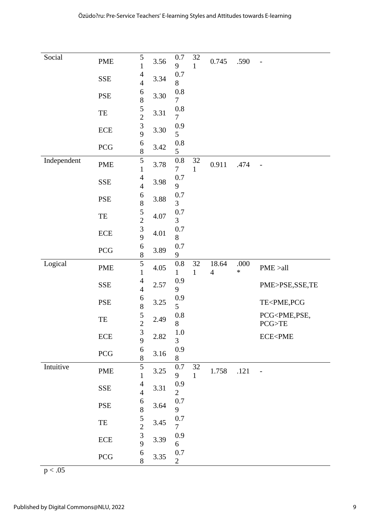| Social      | <b>PME</b>                 | $\frac{5}{1}$                                  | 3.56 | $0.7\,$<br>9              | 32                 | 0.745                   | .590           | $\overline{a}$                             |
|-------------|----------------------------|------------------------------------------------|------|---------------------------|--------------------|-------------------------|----------------|--------------------------------------------|
|             |                            | $\overline{4}$                                 |      | 0.7                       | 1                  |                         |                |                                            |
|             | <b>SSE</b>                 | $\overline{4}$                                 | 3.34 | 8                         |                    |                         |                |                                            |
|             | <b>PSE</b>                 | 6<br>8                                         | 3.30 | 0.8<br>7                  |                    |                         |                |                                            |
|             | TE                         | $\frac{5}{2}$                                  | 3.31 | $0.8\,$<br>$\overline{7}$ |                    |                         |                |                                            |
|             | $\rm ECE$                  | $\begin{array}{c} 3 \\ 9 \end{array}$          | 3.30 | 0.9<br>5                  |                    |                         |                |                                            |
|             | $\rm{PCG}$                 | $\begin{array}{c} 6 \\ 8 \end{array}$          | 3.42 | $0.8\,$<br>5              |                    |                         |                |                                            |
| Independent | <b>PME</b>                 | $\overline{5}$<br>$\mathbf{1}$                 | 3.78 | $0.8\,$<br>$\overline{7}$ | $32\,$<br>1        | 0.911                   | .474           | $\overline{a}$                             |
|             | <b>SSE</b>                 | $\overline{4}$<br>$\overline{4}$               | 3.98 | 0.7<br>9                  |                    |                         |                |                                            |
|             | <b>PSE</b>                 | $\begin{array}{c} 6 \\ 8 \end{array}$          | 3.88 | 0.7<br>3                  |                    |                         |                |                                            |
|             | TE                         | $\frac{5}{2}$                                  | 4.07 | 0.7<br>3                  |                    |                         |                |                                            |
|             | $\ensuremath{\text{ECE}}$  | $\frac{3}{9}$                                  | 4.01 | 0.7<br>8                  |                    |                         |                |                                            |
|             | $\rm{PCG}$                 | $\overline{6}$<br>8                            | 3.89 | $0.7\,$<br>9              |                    |                         |                |                                            |
| Logical     | <b>PME</b>                 | $\overline{5}$<br>$\mathbf{1}$                 | 4.05 | $0.8\,$<br>1              | 32<br>$\mathbf{1}$ | 18.64<br>$\overline{4}$ | .000<br>$\ast$ | PME > all                                  |
|             | <b>SSE</b>                 | $\overline{4}$<br>$\overline{4}$               | 2.57 | 0.9<br>9                  |                    |                         |                | PME>PSE,SSE,TE                             |
|             | <b>PSE</b>                 | $\begin{array}{c} 6 \\ 8 \end{array}$          | 3.25 | 0.9<br>5                  |                    |                         |                | TE <pme,pcg< td=""></pme,pcg<>             |
|             | $\ensuremath{\mathsf{TE}}$ | $\frac{5}{2}$                                  | 2.49 | $0.8\,$<br>8              |                    |                         |                | PCG <pme,pse,<br>PCG &gt; TE</pme,pse,<br> |
|             | $\rm ECE$                  | $\frac{3}{9}$                                  | 2.82 | $1.0\,$<br>3              |                    |                         |                | <b>ECE<pme< b=""></pme<></b>               |
|             | $\rm{PCG}$                 | 6<br>8                                         | 3.16 | 0.9<br>8                  |                    |                         |                |                                            |
| Intuitive   | <b>PME</b>                 | $\mathbf{1}$                                   | 3.25 | 0.7<br>9                  | 32<br>$\mathbf 1$  | 1.758                   | .121           | $\overline{a}$                             |
|             | <b>SSE</b>                 | $\overline{4}$<br>$\overline{4}$               | 3.31 | 0.9<br>$\overline{2}$     |                    |                         |                |                                            |
|             | <b>PSE</b>                 | 6                                              | 3.64 | 0.7<br>9                  |                    |                         |                |                                            |
|             |                            |                                                |      |                           |                    |                         |                |                                            |
|             | TE                         |                                                | 3.45 | $0.7\,$<br>$\overline{7}$ |                    |                         |                |                                            |
|             | ECE                        | 85239<br>$\begin{array}{c} 6 \\ 8 \end{array}$ | 3.39 | 0.9<br>6                  |                    |                         |                |                                            |

 $p < .05$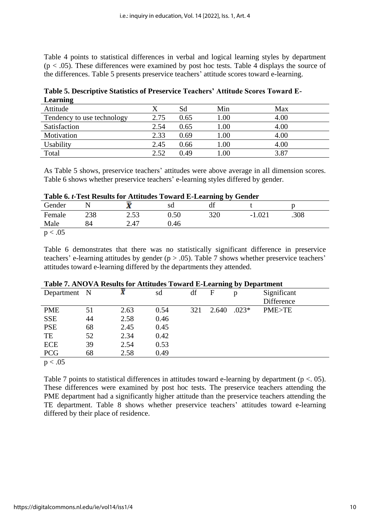Table 4 points to statistical differences in verbal and logical learning styles by department  $(p < .05)$ . These differences were examined by post hoc tests. Table 4 displays the source of the differences. Table 5 presents preservice teachers' attitude scores toward e-learning.

| <b>Little</b>              |      |      |          |      |  |
|----------------------------|------|------|----------|------|--|
| Attitude                   |      | Sd   | Min      | Max  |  |
| Tendency to use technology | 2.75 | 0.65 | 00.1     | 4.00 |  |
| Satisfaction               | 2.54 | 0.65 | 00.1     | 4.00 |  |
| Motivation                 | 2.33 | 0.69 | $1.00\,$ | 4.00 |  |
| Usability                  | 2.45 | 0.66 | 0.00     | 4.00 |  |
| Total                      | 2.52 | 0.49 | 0.0      | 3.87 |  |

**Table 5. Descriptive Statistics of Preservice Teachers' Attitude Scores Toward E-Learning**

As Table 5 shows, preservice teachers' attitudes were above average in all dimension scores. Table 6 shows whether preservice teachers' e-learning styles differed by gender.

|  | Table 6. t-Test Results for Attitudes Toward E-Learning by Gender |
|--|-------------------------------------------------------------------|
|--|-------------------------------------------------------------------|

| Gender |     | л    | sd   | df  |               |      |  |
|--------|-----|------|------|-----|---------------|------|--|
| Female | 238 | 2.53 | 0.50 | 320 | 1.021<br>$-1$ | .308 |  |
| Male   | 84  | 2.47 | 0.46 |     |               |      |  |
| .05    |     |      |      |     |               |      |  |

Table 6 demonstrates that there was no statistically significant difference in preservice teachers' e-learning attitudes by gender ( $p > .05$ ). Table 7 shows whether preservice teachers' attitudes toward e-learning differed by the departments they attended.

| Table <i>h</i> the via results for interacts formed D Dearning by Department |    |      |      |     |       |         |                  |
|------------------------------------------------------------------------------|----|------|------|-----|-------|---------|------------------|
| Department N                                                                 |    |      | sd   | df  | F     | р       | Significant      |
|                                                                              |    |      |      |     |       |         | Difference       |
| <b>PME</b>                                                                   | 51 | 2.63 | 0.54 | 321 | 2.640 | $.023*$ | <b>PME&gt;TE</b> |
| <b>SSE</b>                                                                   | 44 | 2.58 | 0.46 |     |       |         |                  |
| <b>PSE</b>                                                                   | 68 | 2.45 | 0.45 |     |       |         |                  |
| TE                                                                           | 52 | 2.34 | 0.42 |     |       |         |                  |
| <b>ECE</b>                                                                   | 39 | 2.54 | 0.53 |     |       |         |                  |
| <b>PCG</b>                                                                   | 68 | 2.58 | 0.49 |     |       |         |                  |
|                                                                              |    |      |      |     |       |         |                  |

## **Table 7. ANOVA Results for Attitudes Toward E-Learning by Department**

 $p < .05$ 

Table 7 points to statistical differences in attitudes toward e-learning by department ( $p < 0.05$ ). These differences were examined by post hoc tests. The preservice teachers attending the PME department had a significantly higher attitude than the preservice teachers attending the TE department. Table 8 shows whether preservice teachers' attitudes toward e-learning differed by their place of residence.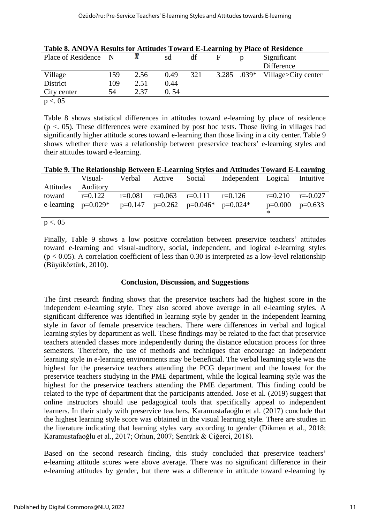|                      |     | Table 0. APO VA Results for Attitudes Toward E-Etarining by Trace of Residence |      |     |   |   |                                 |  |  |  |
|----------------------|-----|--------------------------------------------------------------------------------|------|-----|---|---|---------------------------------|--|--|--|
| Place of Residence N |     |                                                                                | sd   | df  | F | p | Significant                     |  |  |  |
|                      |     |                                                                                |      |     |   |   | Difference                      |  |  |  |
| Village              | 159 | 2.56                                                                           | 0.49 | 321 |   |   | 3.285 .039* Village>City center |  |  |  |
| District             | 109 | 2.51                                                                           | 0.44 |     |   |   |                                 |  |  |  |
| City center          | 54  | 2.37                                                                           | 0.54 |     |   |   |                                 |  |  |  |
| p < 0.05             |     |                                                                                |      |     |   |   |                                 |  |  |  |

|  | Table 8. ANOVA Results for Attitudes Toward E-Learning by Place of Residence |  |  |  |  |
|--|------------------------------------------------------------------------------|--|--|--|--|
|  |                                                                              |  |  |  |  |
|  |                                                                              |  |  |  |  |
|  |                                                                              |  |  |  |  |

Table 8 shows statistical differences in attitudes toward e-learning by place of residence  $(p < 0.05)$ . These differences were examined by post hoc tests. Those living in villages had significantly higher attitude scores toward e-learning than those living in a city center. Table 9 shows whether there was a relationship between preservice teachers' e-learning styles and their attitudes toward e-learning.

| Table 9. The Relationship Between E-Learning Styles and Attitudes Toward E-Learning |  |  |
|-------------------------------------------------------------------------------------|--|--|
|                                                                                     |  |  |

|                             | Visual-                                                            | Verbal | Active                        | Social | Independent Logical Intuitive |                   |              |
|-----------------------------|--------------------------------------------------------------------|--------|-------------------------------|--------|-------------------------------|-------------------|--------------|
| Attitudes                   | Auditory                                                           |        |                               |        |                               |                   |              |
| toward                      | $r = 0.122$                                                        |        | $r=0.081$ $r=0.063$ $r=0.111$ |        | $r=0.126$                     | $r=0.210$         | $r = -0.027$ |
|                             | e-learning $p=0.029^*$ $p=0.147$ $p=0.262$ $p=0.046^*$ $p=0.024^*$ |        |                               |        |                               | $p=0.000 p=0.633$ |              |
|                             |                                                                    |        |                               |        |                               |                   |              |
| $\sim$ $\sim$ $\sim$ $\sim$ |                                                                    |        |                               |        |                               |                   |              |

#### $p < 0.05$

Finally, Table 9 shows a low positive correlation between preservice teachers' attitudes toward e-learning and visual-auditory, social, independent, and logical e-learning styles  $(p < 0.05)$ . A correlation coefficient of less than 0.30 is interpreted as a low-level relationship (Büyüköztürk, 2010).

#### **Conclusion, Discussion, and Suggestions**

The first research finding shows that the preservice teachers had the highest score in the independent e-learning style. They also scored above average in all e-learning styles. A significant difference was identified in learning style by gender in the independent learning style in favor of female preservice teachers. There were differences in verbal and logical learning styles by department as well. These findings may be related to the fact that preservice teachers attended classes more independently during the distance education process for three semesters. Therefore, the use of methods and techniques that encourage an independent learning style in e-learning environments may be beneficial. The verbal learning style was the highest for the preservice teachers attending the PCG department and the lowest for the preservice teachers studying in the PME department, while the logical learning style was the highest for the preservice teachers attending the PME department. This finding could be related to the type of department that the participants attended. Jose et al. (2019) suggest that online instructors should use pedagogical tools that specifically appeal to independent learners. In their study with preservice teachers, Karamustafaoğlu et al. (2017) conclude that the highest learning style score was obtained in the visual learning style. There are studies in the literature indicating that learning styles vary according to gender (Dikmen et al., 2018; Karamustafaoğlu et al., 2017; Orhun, 2007; Şentürk & Ciğerci, 2018).

Based on the second research finding, this study concluded that preservice teachers' e-learning attitude scores were above average. There was no significant difference in their e-learning attitudes by gender, but there was a difference in attitude toward e-learning by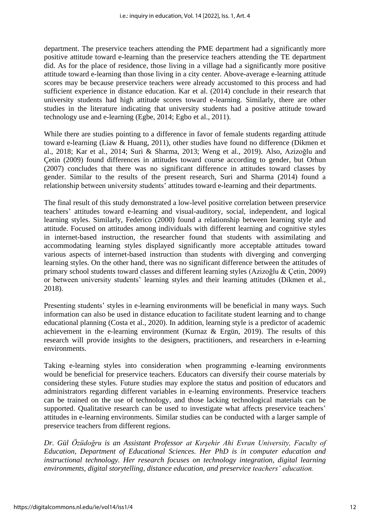department. The preservice teachers attending the PME department had a significantly more positive attitude toward e-learning than the preservice teachers attending the TE department did. As for the place of residence, those living in a village had a significantly more positive attitude toward e-learning than those living in a city center. Above-average e-learning attitude scores may be because preservice teachers were already accustomed to this process and had sufficient experience in distance education. Kar et al. (2014) conclude in their research that university students had high attitude scores toward e-learning. Similarly, there are other studies in the literature indicating that university students had a positive attitude toward technology use and e-learning (Egbe, 2014; Egbo et al., 2011).

While there are studies pointing to a difference in favor of female students regarding attitude toward e-learning (Liaw & Huang, 2011), other studies have found no difference (Dikmen et al., 2018; Kar et al., 2014; Suri & Sharma, 2013; Weng et al., 2019). Also, Azizoğlu and Çetin (2009) found differences in attitudes toward course according to gender, but Orhun (2007) concludes that there was no significant difference in attitudes toward classes by gender. Similar to the results of the present research, Suri and Sharma (2014) found a relationship between university students' attitudes toward e-learning and their departments.

The final result of this study demonstrated a low-level positive correlation between preservice teachers' attitudes toward e-learning and visual-auditory, social, independent, and logical learning styles. Similarly, Federico (2000) found a relationship between learning style and attitude. Focused on attitudes among individuals with different learning and cognitive styles in internet-based instruction, the researcher found that students with assimilating and accommodating learning styles displayed significantly more acceptable attitudes toward various aspects of internet-based instruction than students with diverging and converging learning styles. On the other hand, there was no significant difference between the attitudes of primary school students toward classes and different learning styles (Azizoğlu & Çetin, 2009) or between university students' learning styles and their learning attitudes (Dikmen et al., 2018).

Presenting students' styles in e-learning environments will be beneficial in many ways. Such information can also be used in distance education to facilitate student learning and to change educational planning (Costa et al., 2020). In addition, learning style is a predictor of academic achievement in the e-learning environment (Kurnaz & Ergün, 2019). The results of this research will provide insights to the designers, practitioners, and researchers in e-learning environments.

Taking e-learning styles into consideration when programming e-learning environments would be beneficial for preservice teachers. Educators can diversify their course materials by considering these styles. Future studies may explore the status and position of educators and administrators regarding different variables in e-learning environments. Preservice teachers can be trained on the use of technology, and those lacking technological materials can be supported. Qualitative research can be used to investigate what affects preservice teachers' attitudes in e-learning environments. Similar studies can be conducted with a larger sample of preservice teachers from different regions.

*Dr. Gül Özüdoğru is an Assistant Professor at Kırşehir Ahi Evran University, Faculty of Education, Department of Educational Sciences. Her PhD is in computer education and instructional technology. Her research focuses on technology integration, digital learning environments, digital storytelling, distance education, and preservice teachers' education.*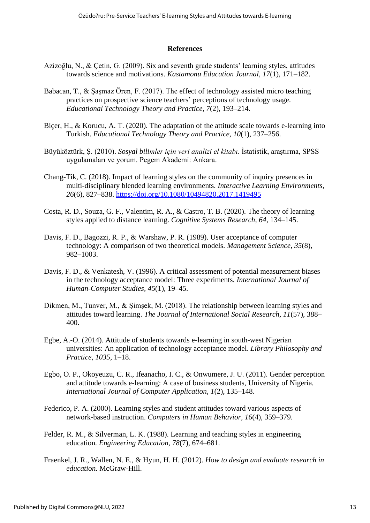#### **References**

- Azizoğlu, N., & Çetin, G. (2009). Six and seventh grade students' learning styles, attitudes towards science and motivations. *Kastamonu Education Journal, 17*(1), 171–182.
- Babacan, T., & Şaşmaz Ören, F. (2017). The effect of technology assisted micro teaching practices on prospective science teachers' perceptions of technology usage. *Educational Technology Theory and Practice, 7*(2), 193–214.
- Biçer, H., & Korucu, A. T. (2020). The adaptation of the attitude scale towards e-learning into Turkish. *Educational Technology Theory and Practice, 10*(1), 237–256.
- Büyüköztürk, Ş. (2010). *Sosyal bilimler için veri analizi el kitabı.* İstatistik, araştırma, SPSS uygulamaları ve yorum. Pegem Akademi: Ankara.
- Chang-Tik, C. (2018). Impact of learning styles on the community of inquiry presences in multi-disciplinary blended learning environments. *Interactive Learning Environments, 26*(6), 827–838. <https://doi.org/10.1080/10494820.2017.1419495>
- Costa, R. D., Souza, G. F., Valentim, R. A., & Castro, T. B. (2020). The theory of learning styles applied to distance learning. *Cognitive Systems Research, 64*, 134–145.
- Davis, F. D., Bagozzi, R. P., & Warshaw, P. R. (1989). User acceptance of computer technology: A comparison of two theoretical models. *Management Science, 35*(8), 982–1003.
- Davis, F. D., & Venkatesh, V. (1996). A critical assessment of potential measurement biases in the technology acceptance model: Three experiments. *International Journal of Human-Computer Studies, 45*(1), 19–45.
- Dikmen, M., Tunver, M., & Şimşek, M. (2018). The relationship between learning styles and attitudes toward learning. *The Journal of International Social Research, 11*(57), 388– 400.
- Egbe, A.-O. (2014). Attitude of students towards e-learning in south-west Nigerian universities: An application of technology acceptance model. *Library Philosophy and Practice, 1035,* 1–18.
- Egbo, O. P., Okoyeuzu, C. R., Ifeanacho, I. C., & Onwumere, J. U. (2011). Gender perception and attitude towards e-learning: A case of business students, University of Nigeria*. International Journal of Computer Application, 1*(2), 135–148.
- Federico, P. A. (2000). Learning styles and student attitudes toward various aspects of network-based instruction. *Computers in Human Behavior, 16*(4), 359–379.
- Felder, R. M., & Silverman, L. K. (1988). Learning and teaching styles in engineering education*. Engineering Education, 78*(7), 674–681.
- Fraenkel, J. R., Wallen, N. E., & Hyun, H. H. (2012). *How to design and evaluate research in education.* McGraw-Hill.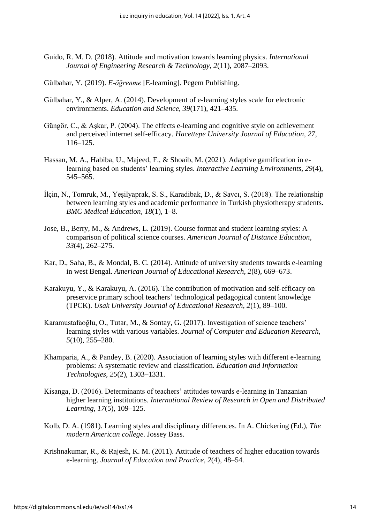- Guido, R. M. D. (2018). Attitude and motivation towards learning physics. *International Journal of Engineering Research & Technology, 2*(11), 2087–2093.
- Gülbahar, Y. (2019). *E-öğrenme* [E-learning]. Pegem Publishing.
- Gülbahar, Y., & Alper, A. (2014). Development of e-learning styles scale for electronic environments. *Education and Science, 39*(171), 421–435.
- Güngör, C., & Aşkar, P. (2004). The effects e-learning and cognitive style on achievement and perceived internet self-efficacy. *Hacettepe University Journal of Education, 27*, 116–125.
- Hassan, M. A., Habiba, U., Majeed, F., & Shoaib, M. (2021). Adaptive gamification in elearning based on students' learning styles. *Interactive Learning Environments, 29*(4), 545–565.
- İlçin, N., Tomruk, M., Yeşilyaprak, S. S., Karadibak, D., & Savcı, S. (2018). The relationship between learning styles and academic performance in Turkish physiotherapy students. *BMC Medical Education, 18*(1), 1–8.
- Jose, B., Berry, M., & Andrews, L. (2019). Course format and student learning styles: A comparison of political science courses. *American Journal of Distance Education, 33*(4), 262–275.
- Kar, D., Saha, B., & Mondal, B. C. (2014). Attitude of university students towards e-learning in west Bengal. *American Journal of Educational Research, 2*(8), 669–673.
- Karakuyu, Y., & Karakuyu, A. (2016). The contribution of motivation and self-efficacy on preservice primary school teachers' technological pedagogical content knowledge (TPCK). *Usak University Journal of Educational Research, 2*(1), 89–100.
- Karamustafaoğlu, O., Tutar, M., & Sontay, G. (2017). Investigation of science teachers' learning styles with various variables. *Journal of Computer and Education Research, 5*(10), 255–280.
- Khamparia, A., & Pandey, B. (2020). Association of learning styles with different e-learning problems: A systematic review and classification. *Education and Information Technologies, 25*(2), 1303–1331.
- Kisanga, D. (2016). Determinants of teachers' attitudes towards e-learning in Tanzanian higher learning institutions. *International Review of Research in Open and Distributed Learning, 17*(5), 109–125.
- Kolb, D. A. (1981). Learning styles and disciplinary differences. In A. Chickering (Ed.), *The modern American college*. Jossey Bass.
- Krishnakumar, R., & Rajesh, K. M. (2011). Attitude of teachers of higher education towards e-learning. *Journal of Education and Practice, 2*(4), 48–54.